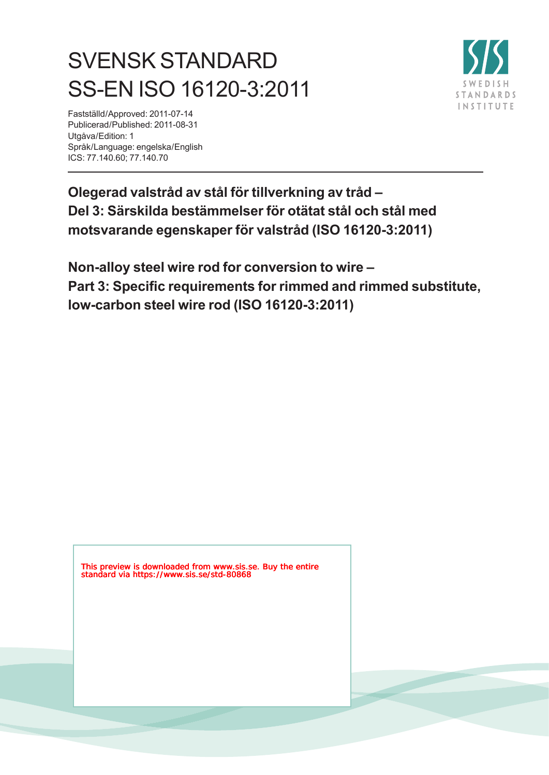# SVENSK STANDARD SS-EN ISO 16120-3:2011



Fastställd/Approved: 2011-07-14 Publicerad/Published: 2011-08-31 Utgåva/Edition: 1 Språk/Language: engelska/English ICS: 77.140.60; 77.140.70

**Olegerad valstråd av stål för tillverkning av tråd – Del 3: Särskilda bestämmelser för otätat stål och stål med motsvarande egenskaper för valstråd (ISO 16120‑3:2011)**

**Non-alloy steel wire rod for conversion to wire – Part 3: Specific requirements for rimmed and rimmed substitute, low-carbon steel wire rod (ISO 16120‑3:2011)**

This preview is downloaded from www.sis.se. Buy the entire standard via https://www.sis.se/std-80868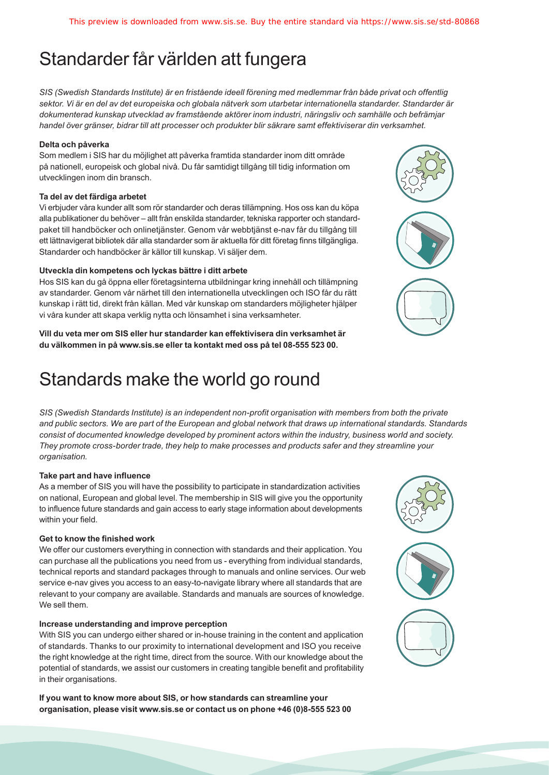# Standarder får världen att fungera

*SIS (Swedish Standards Institute) är en fristående ideell förening med medlemmar från både privat och offentlig sektor. Vi är en del av det europeiska och globala nätverk som utarbetar internationella standarder. Standarder är dokumenterad kunskap utvecklad av framstående aktörer inom industri, näringsliv och samhälle och befrämjar handel över gränser, bidrar till att processer och produkter blir säkrare samt effektiviserar din verksamhet.* 

#### **Delta och påverka**

Som medlem i SIS har du möjlighet att påverka framtida standarder inom ditt område på nationell, europeisk och global nivå. Du får samtidigt tillgång till tidig information om utvecklingen inom din bransch.

#### **Ta del av det färdiga arbetet**

Vi erbjuder våra kunder allt som rör standarder och deras tillämpning. Hos oss kan du köpa alla publikationer du behöver – allt från enskilda standarder, tekniska rapporter och standardpaket till handböcker och onlinetjänster. Genom vår webbtjänst e-nav får du tillgång till ett lättnavigerat bibliotek där alla standarder som är aktuella för ditt företag finns tillgängliga. Standarder och handböcker är källor till kunskap. Vi säljer dem.

#### **Utveckla din kompetens och lyckas bättre i ditt arbete**

Hos SIS kan du gå öppna eller företagsinterna utbildningar kring innehåll och tillämpning av standarder. Genom vår närhet till den internationella utvecklingen och ISO får du rätt kunskap i rätt tid, direkt från källan. Med vår kunskap om standarders möjligheter hjälper vi våra kunder att skapa verklig nytta och lönsamhet i sina verksamheter.

**Vill du veta mer om SIS eller hur standarder kan effektivisera din verksamhet är du välkommen in på www.sis.se eller ta kontakt med oss på tel 08-555 523 00.**

# Standards make the world go round

*SIS (Swedish Standards Institute) is an independent non-profit organisation with members from both the private and public sectors. We are part of the European and global network that draws up international standards. Standards consist of documented knowledge developed by prominent actors within the industry, business world and society. They promote cross-border trade, they help to make processes and products safer and they streamline your organisation.*

#### **Take part and have influence**

As a member of SIS you will have the possibility to participate in standardization activities on national, European and global level. The membership in SIS will give you the opportunity to influence future standards and gain access to early stage information about developments within your field.

#### **Get to know the finished work**

We offer our customers everything in connection with standards and their application. You can purchase all the publications you need from us - everything from individual standards, technical reports and standard packages through to manuals and online services. Our web service e-nav gives you access to an easy-to-navigate library where all standards that are relevant to your company are available. Standards and manuals are sources of knowledge. We sell them.

#### **Increase understanding and improve perception**

With SIS you can undergo either shared or in-house training in the content and application of standards. Thanks to our proximity to international development and ISO you receive the right knowledge at the right time, direct from the source. With our knowledge about the potential of standards, we assist our customers in creating tangible benefit and profitability in their organisations.

**If you want to know more about SIS, or how standards can streamline your organisation, please visit www.sis.se or contact us on phone +46 (0)8-555 523 00**



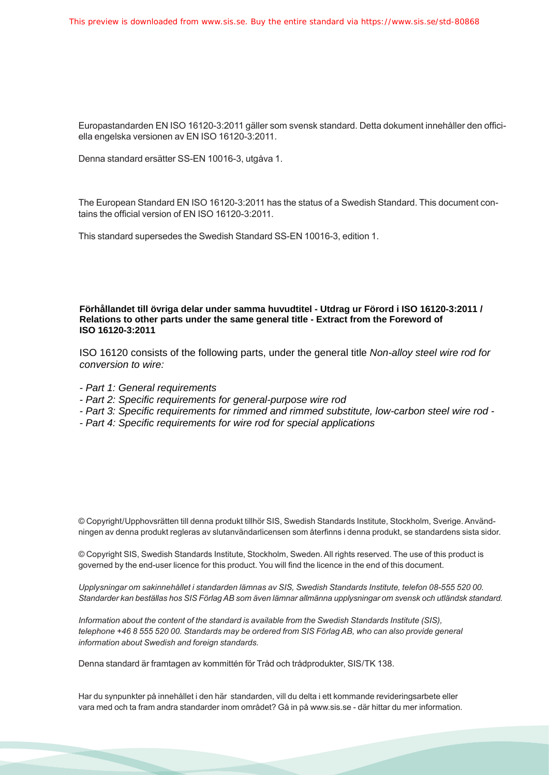Europastandarden EN ISO 16120-3:2011 gäller som svensk standard. Detta dokument innehåller den officiella engelska versionen av EN ISO 16120-3:2011.

Denna standard ersätter SS-EN 10016-3, utgåva 1.

The European Standard EN ISO 16120-3:2011 has the status of a Swedish Standard. This document contains the official version of EN ISO 16120-3:2011.

This standard supersedes the Swedish Standard SS-EN 10016-3, edition 1.

#### **Förhållandet till övriga delar under samma huvudtitel - Utdrag ur Förord i ISO 16120-3:2011 / Relations to other parts under the same general title - Extract from the Foreword of ISO 16120-3:2011**

ISO 16120 consists of the following parts, under the general title *Non-alloy steel wire rod for conversion to wire:* 

- *Part 1: General requirements*
- *Part 2: Specific requirements for general-purpose wire rod*
- *Part 3: Specific requirements for rimmed and rimmed substitute, low-carbon steel wire rod -*
- *Part 4: Specific requirements for wire rod for special applications*

© Copyright/Upphovsrätten till denna produkt tillhör SIS, Swedish Standards Institute, Stockholm, Sverige. Användningen av denna produkt regleras av slutanvändarlicensen som återfinns i denna produkt, se standardens sista sidor.

© Copyright SIS, Swedish Standards Institute, Stockholm, Sweden. All rights reserved. The use of this product is governed by the end-user licence for this product. You will find the licence in the end of this document.

*Upplysningar om sakinnehållet i standarden lämnas av SIS, Swedish Standards Institute, telefon 08-555 520 00. Standarder kan beställas hos SIS Förlag AB som även lämnar allmänna upplysningar om svensk och utländsk standard.*

*Information about the content of the standard is available from the Swedish Standards Institute (SIS), telephone +46 8 555 520 00. Standards may be ordered from SIS Förlag AB, who can also provide general information about Swedish and foreign standards.*

Denna standard är framtagen av kommittén för Tråd och trådprodukter, SIS/TK 138.

Har du synpunkter på innehållet i den här standarden, vill du delta i ett kommande revideringsarbete eller vara med och ta fram andra standarder inom området? Gå in på www.sis.se - där hittar du mer information.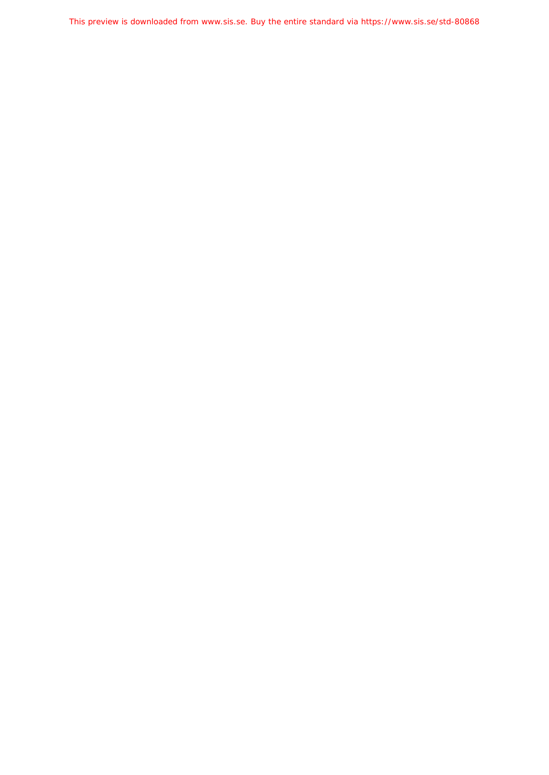This preview is downloaded from www.sis.se. Buy the entire standard via https://www.sis.se/std-80868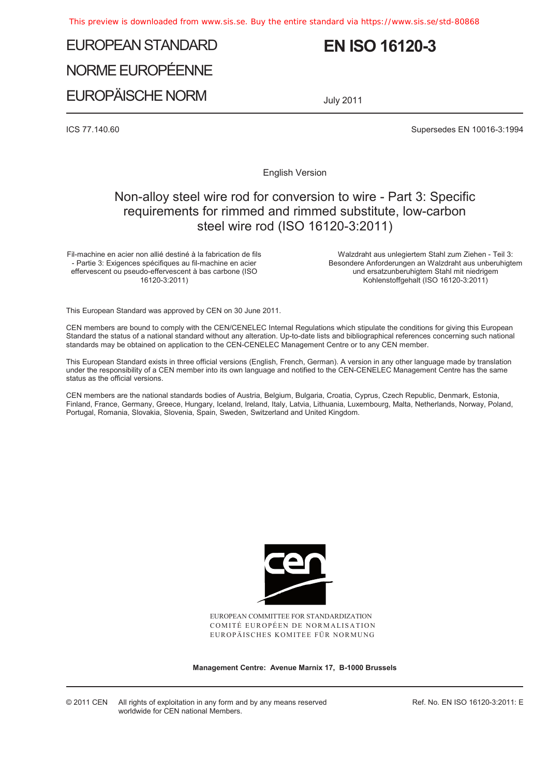## EUROPEAN STANDARD NORME EUROPÉENNE EUROPÄISCHE NORM

### **EN ISO 16120-3**

July 2011

ICS 77.140.60 Supersedes EN 10016-3:1994

English Version

### Non-alloy steel wire rod for conversion to wire - Part 3: Specific requirements for rimmed and rimmed substitute, low-carbon steel wire rod (ISO 16120-3:2011)

Fil-machine en acier non allié destiné à la fabrication de fils - Partie 3: Exigences spécifiques au fil-machine en acier effervescent ou pseudo-effervescent à bas carbone (ISO 16120-3:2011)

Walzdraht aus unlegiertem Stahl zum Ziehen - Teil 3: Besondere Anforderungen an Walzdraht aus unberuhigtem und ersatzunberuhigtem Stahl mit niedrigem Kohlenstoffgehalt (ISO 16120-3:2011)

This European Standard was approved by CEN on 30 June 2011.

CEN members are bound to comply with the CEN/CENELEC Internal Regulations which stipulate the conditions for giving this European Standard the status of a national standard without any alteration. Up-to-date lists and bibliographical references concerning such national standards may be obtained on application to the CEN-CENELEC Management Centre or to any CEN member.

This European Standard exists in three official versions (English, French, German). A version in any other language made by translation under the responsibility of a CEN member into its own language and notified to the CEN-CENELEC Management Centre has the same status as the official versions.

CEN members are the national standards bodies of Austria, Belgium, Bulgaria, Croatia, Cyprus, Czech Republic, Denmark, Estonia, Finland, France, Germany, Greece, Hungary, Iceland, Ireland, Italy, Latvia, Lithuania, Luxembourg, Malta, Netherlands, Norway, Poland, Portugal, Romania, Slovakia, Slovenia, Spain, Sweden, Switzerland and United Kingdom.



EUROPEAN COMMITTEE FOR STANDARDIZATION COMITÉ EUROPÉEN DE NORMALISATION EUROPÄISCHES KOMITEE FÜR NORMUNG

**Management Centre: Avenue Marnix 17, B-1000 Brussels**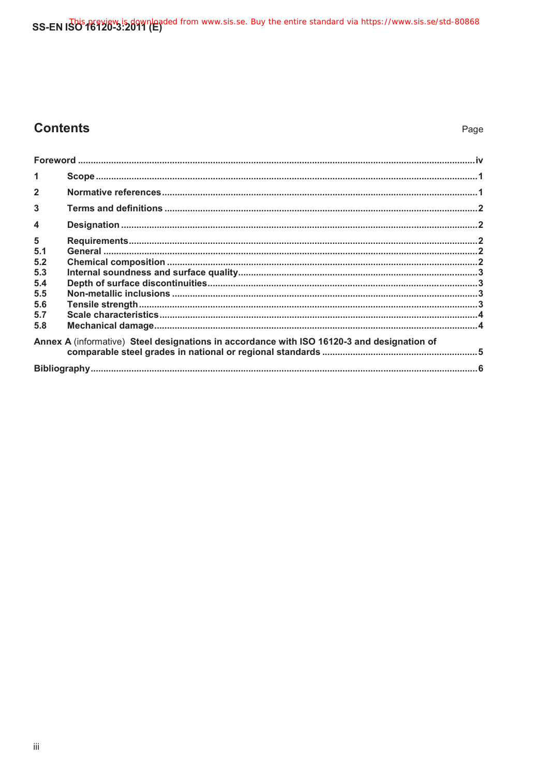SS-EN ISO 16120-3:2011 (E) SS-EN ISO 16120-3:2011 (E)

### **Contents**

| $\overline{2}$                                                                                    |  |
|---------------------------------------------------------------------------------------------------|--|
| $\overline{3}$                                                                                    |  |
| $\boldsymbol{4}$                                                                                  |  |
| $5\phantom{1}$<br>5.1                                                                             |  |
| 5.2<br>5.3                                                                                        |  |
| 5.4<br>5.5                                                                                        |  |
| 5.6<br>5.7                                                                                        |  |
| 5.8<br>Annex A (informative) Steel designations in accordance with ISO 16120-3 and designation of |  |
|                                                                                                   |  |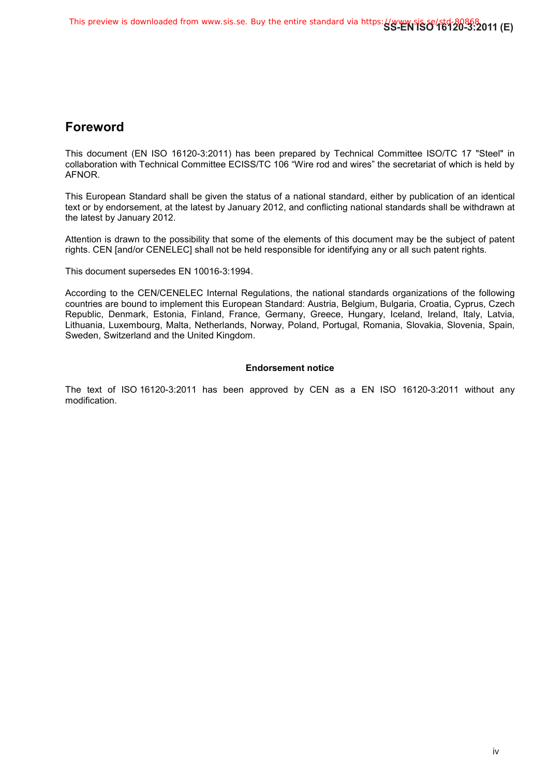### **Foreword**

This document (EN ISO 16120-3:2011) has been prepared by Technical Committee ISO/TC 17 "Steel" in collaboration with Technical Committee ECISS/TC 106 "Wire rod and wires" the secretariat of which is held by AFNOR.

This European Standard shall be given the status of a national standard, either by publication of an identical text or by endorsement, at the latest by January 2012, and conflicting national standards shall be withdrawn at the latest by January 2012.

Attention is drawn to the possibility that some of the elements of this document may be the subject of patent rights. CEN [and/or CENELEC] shall not be held responsible for identifying any or all such patent rights.

This document supersedes EN 10016-3:1994.

According to the CEN/CENELEC Internal Regulations, the national standards organizations of the following countries are bound to implement this European Standard: Austria, Belgium, Bulgaria, Croatia, Cyprus, Czech Republic, Denmark, Estonia, Finland, France, Germany, Greece, Hungary, Iceland, Ireland, Italy, Latvia, Lithuania, Luxembourg, Malta, Netherlands, Norway, Poland, Portugal, Romania, Slovakia, Slovenia, Spain, Sweden, Switzerland and the United Kingdom.

#### **Endorsement notice**

The text of ISO 16120-3:2011 has been approved by CEN as a EN ISO 16120-3:2011 without any modification.